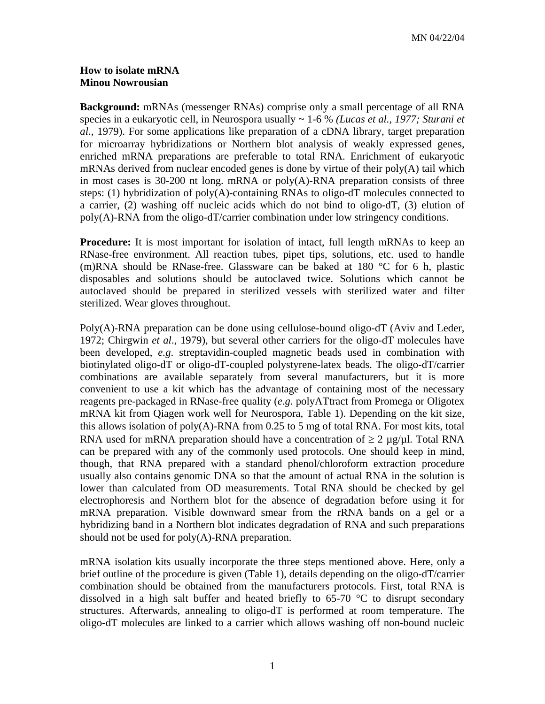## **How to isolate mRNA Minou Nowrousian**

**Background:** mRNAs (messenger RNAs) comprise only a small percentage of all RNA species in a eukaryotic cell, in Neurospora usually ~ 1-6 % *(Lucas et al., 1977; Sturani et al*., 1979). For some applications like preparation of a cDNA library, target preparation for microarray hybridizations or Northern blot analysis of weakly expressed genes, enriched mRNA preparations are preferable to total RNA. Enrichment of eukaryotic mRNAs derived from nuclear encoded genes is done by virtue of their  $poly(A)$  tail which in most cases is 30-200 nt long. mRNA or poly(A)-RNA preparation consists of three steps: (1) hybridization of poly(A)-containing RNAs to oligo-dT molecules connected to a carrier, (2) washing off nucleic acids which do not bind to oligo-dT, (3) elution of  $poly(A)$ -RNA from the oligo-dT/carrier combination under low stringency conditions.

**Procedure:** It is most important for isolation of intact, full length mRNAs to keep an RNase-free environment. All reaction tubes, pipet tips, solutions, etc. used to handle (m)RNA should be RNase-free. Glassware can be baked at 180 °C for 6 h, plastic disposables and solutions should be autoclaved twice. Solutions which cannot be autoclaved should be prepared in sterilized vessels with sterilized water and filter sterilized. Wear gloves throughout.

Poly(A)-RNA preparation can be done using cellulose-bound oligo-dT (Aviv and Leder, 1972; Chirgwin *et al*., 1979), but several other carriers for the oligo-dT molecules have been developed, *e.g*. streptavidin-coupled magnetic beads used in combination with biotinylated oligo-dT or oligo-dT-coupled polystyrene-latex beads. The oligo-dT/carrier combinations are available separately from several manufacturers, but it is more convenient to use a kit which has the advantage of containing most of the necessary reagents pre-packaged in RNase-free quality (*e.g*. polyATtract from Promega or Oligotex mRNA kit from Qiagen work well for Neurospora, Table 1). Depending on the kit size, this allows isolation of poly(A)-RNA from 0.25 to 5 mg of total RNA. For most kits, total RNA used for mRNA preparation should have a concentration of  $\geq 2 \mu g/\mu l$ . Total RNA can be prepared with any of the commonly used protocols. One should keep in mind, though, that RNA prepared with a standard phenol/chloroform extraction procedure usually also contains genomic DNA so that the amount of actual RNA in the solution is lower than calculated from OD measurements. Total RNA should be checked by gel electrophoresis and Northern blot for the absence of degradation before using it for mRNA preparation. Visible downward smear from the rRNA bands on a gel or a hybridizing band in a Northern blot indicates degradation of RNA and such preparations should not be used for poly(A)-RNA preparation.

mRNA isolation kits usually incorporate the three steps mentioned above. Here, only a brief outline of the procedure is given (Table 1), details depending on the oligo-dT/carrier combination should be obtained from the manufacturers protocols. First, total RNA is dissolved in a high salt buffer and heated briefly to 65-70 °C to disrupt secondary structures. Afterwards, annealing to oligo-dT is performed at room temperature. The oligo-dT molecules are linked to a carrier which allows washing off non-bound nucleic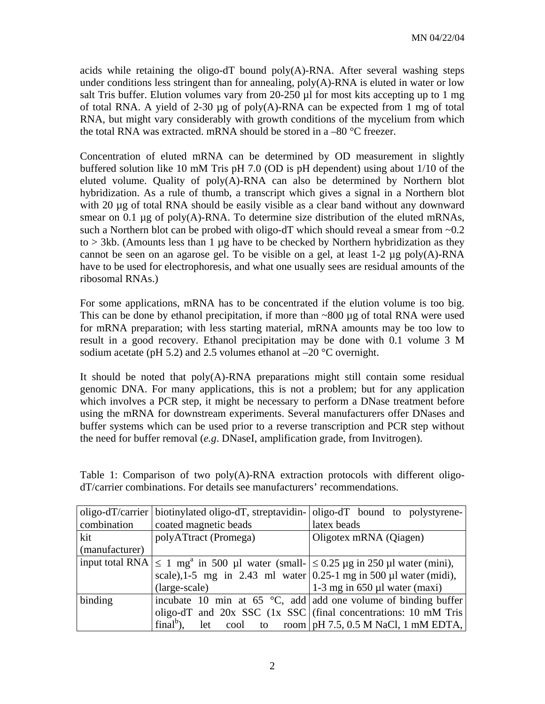acids while retaining the oligo-dT bound  $poly(A)$ -RNA. After several washing steps under conditions less stringent than for annealing,  $poly(A)$ -RNA is eluted in water or low salt Tris buffer. Elution volumes vary from 20-250 µl for most kits accepting up to 1 mg of total RNA. A yield of 2-30 µg of poly(A)-RNA can be expected from 1 mg of total RNA, but might vary considerably with growth conditions of the mycelium from which the total RNA was extracted. mRNA should be stored in a  $-80$  °C freezer.

Concentration of eluted mRNA can be determined by OD measurement in slightly buffered solution like 10 mM Tris pH 7.0 (OD is pH dependent) using about 1/10 of the eluted volume. Quality of poly(A)-RNA can also be determined by Northern blot hybridization. As a rule of thumb, a transcript which gives a signal in a Northern blot with 20 µg of total RNA should be easily visible as a clear band without any downward smear on 0.1  $\mu$ g of poly(A)-RNA. To determine size distribution of the eluted mRNAs, such a Northern blot can be probed with oligo-dT which should reveal a smear from  $\sim 0.2$  $\text{to} > 3 \text{k}$ b. (Amounts less than 1 µg have to be checked by Northern hybridization as they cannot be seen on an agarose gel. To be visible on a gel, at least  $1-2 \mu$ g poly(A)-RNA have to be used for electrophoresis, and what one usually sees are residual amounts of the ribosomal RNAs.)

For some applications, mRNA has to be concentrated if the elution volume is too big. This can be done by ethanol precipitation, if more than  $\sim 800 \mu g$  of total RNA were used for mRNA preparation; with less starting material, mRNA amounts may be too low to result in a good recovery. Ethanol precipitation may be done with 0.1 volume 3 M sodium acetate (pH 5.2) and 2.5 volumes ethanol at  $-20$  °C overnight.

It should be noted that poly(A)-RNA preparations might still contain some residual genomic DNA. For many applications, this is not a problem; but for any application which involves a PCR step, it might be necessary to perform a DNase treatment before using the mRNA for downstream experiments. Several manufacturers offer DNases and buffer systems which can be used prior to a reverse transcription and PCR step without the need for buffer removal (*e.g*. DNaseI, amplification grade, from Invitrogen).

|                | oligo-dT/carrier   biotinylated oligo-dT, streptavidin-   oligo-dT bound to polystyrene-                |                                                   |
|----------------|---------------------------------------------------------------------------------------------------------|---------------------------------------------------|
| combination    | coated magnetic beads                                                                                   | latex beads                                       |
| kit            | polyATtract (Promega)                                                                                   | Oligotex mRNA (Qiagen)                            |
| (manufacturer) |                                                                                                         |                                                   |
|                | input total RNA $\leq 1$ mg <sup>a</sup> in 500 µl water (small- $\leq 0.25$ µg in 250 µl water (mini), |                                                   |
|                | scale), 1-5 mg in 2.43 ml water $(0.25-1 \text{ mg in } 500 \mu l \text{ water (midi)}),$               |                                                   |
|                | (large-scale)                                                                                           | 1-3 mg in $650 \mu l$ water (maxi)                |
| binding        | incubate 10 min at 65 $\degree$ C, add add one volume of binding buffer                                 |                                                   |
|                | oligo-dT and $20x$ SSC (1x SSC) (final concentrations: 10 mM Tris                                       |                                                   |
|                | $finalb$ ).                                                                                             | let cool to room   pH 7.5, 0.5 M NaCl, 1 mM EDTA, |

Table 1: Comparison of two poly(A)-RNA extraction protocols with different oligodT/carrier combinations. For details see manufacturers' recommendations.